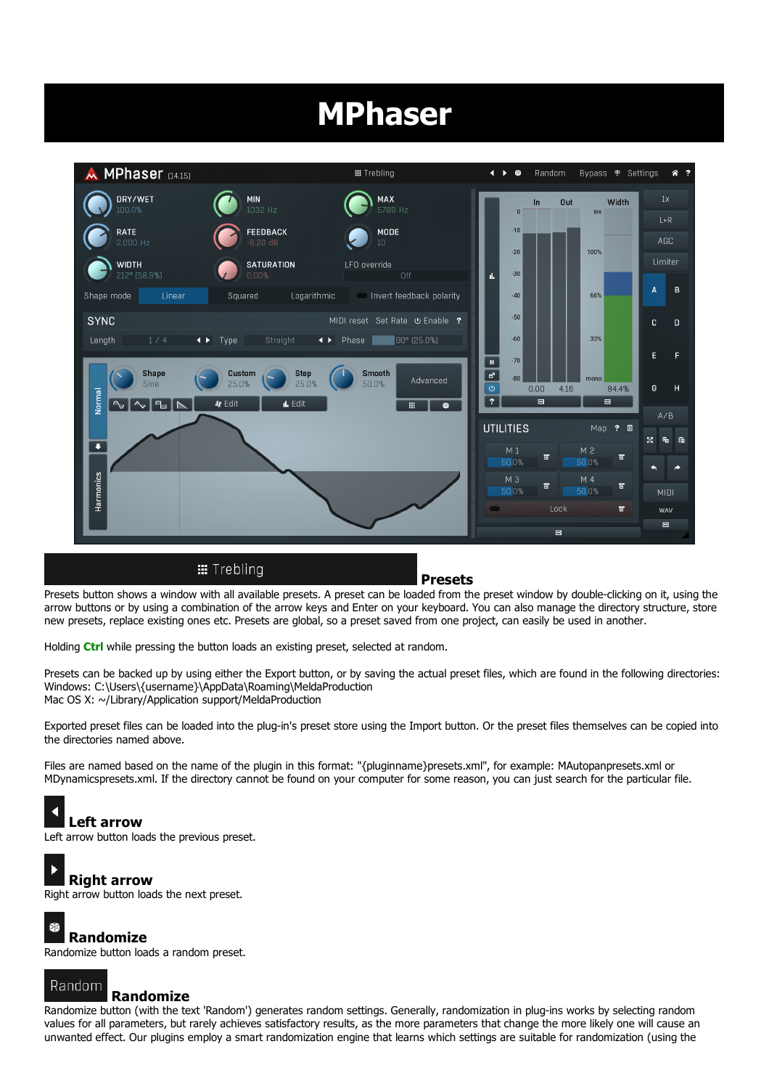# MPhaser



Presets button shows a window with all available presets. A preset can be loaded from the preset window by double-clicking on it, using the arrow buttons or by using a combination of the arrow keys and Enter on your keyboard. You can also manage the directory structure, store new presets, replace existing ones etc. Presets are global, so a preset saved from one project, can easily be used in another.

Holding Ctrl while pressing the button loads an existing preset, selected at random.

Presets can be backed up by using either the Export button, or by saving the actual preset files, which are found in the following directories: Windows: C:\Users\{username}\AppData\Roaming\MeldaProduction Mac OS X: ~/Library/Application support/MeldaProduction

Exported preset files can be loaded into the plug-in's preset store using the Import button. Or the preset files themselves can be copied into the directories named above.

Files are named based on the name of the plugin in this format: "{pluginname}presets.xml", for example: MAutopanpresets.xml or MDynamicspresets.xml. If the directory cannot be found on your computer for some reason, you can just search for the particular file.

#### K Left arrow

Right arrow

Left arrow button loads the previous preset.

## $\overline{\phantom{a}}$

Right arrow button loads the next preset.

#### Ý Randomize

Randomize button loads a random preset.

## Random

### Randomize

Randomize button (with the text 'Random') generates random settings. Generally, randomization in plug-ins works by selecting random values for all parameters, but rarely achieves satisfactory results, as the more parameters that change the more likely one will cause an unwanted effect. Our plugins employ a smart randomization engine that learns which settings are suitable for randomization (using the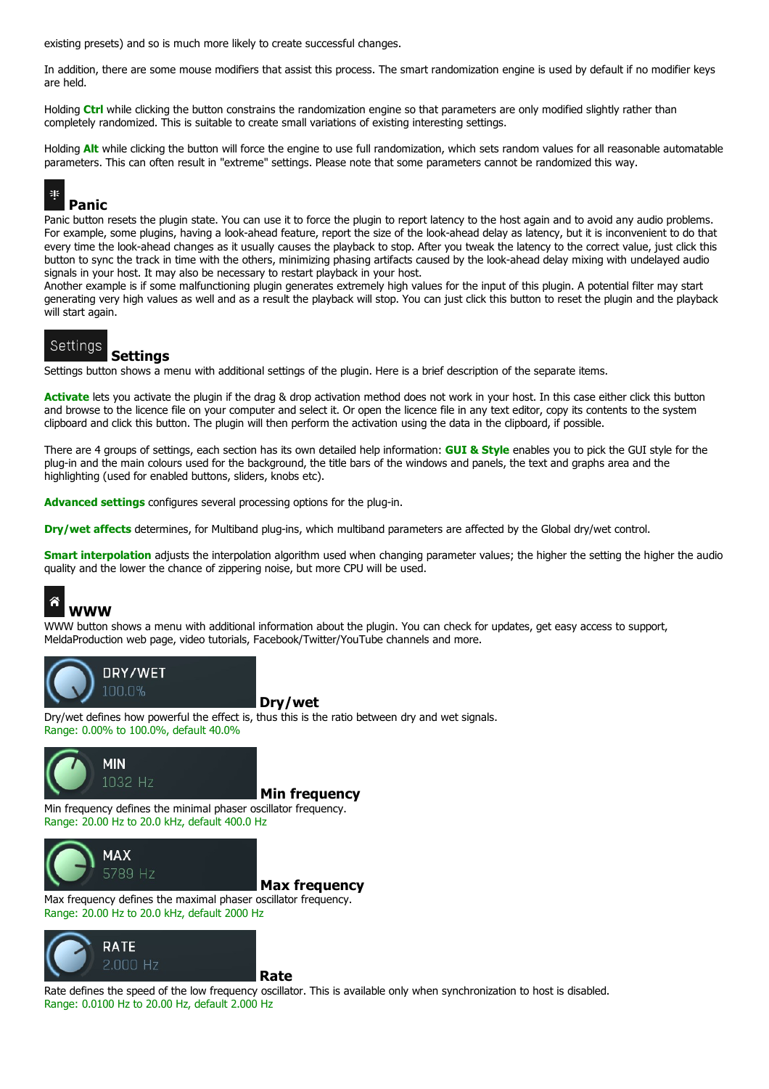existing presets) and so is much more likely to create successful changes.

In addition, there are some mouse modifiers that assist this process. The smart randomization engine is used by default if no modifier keys are held.

Holding Ctrl while clicking the button constrains the randomization engine so that parameters are only modified slightly rather than completely randomized. This is suitable to create small variations of existing interesting settings.

Holding **Alt** while clicking the button will force the engine to use full randomization, which sets random values for all reasonable automatable parameters. This can often result in "extreme" settings. Please note that some parameters cannot be randomized this way.

## 韭

Panic

Panic button resets the plugin state. You can use it to force the plugin to report latency to the host again and to avoid any audio problems. For example, some plugins, having a look-ahead feature, report the size of the look-ahead delay as latency, but it is inconvenient to do that every time the look-ahead changes as it usually causes the playback to stop. After you tweak the latency to the correct value, just click this button to sync the track in time with the others, minimizing phasing artifacts caused by the look-ahead delay mixing with undelayed audio signals in your host. It may also be necessary to restart playback in your host.

Another example is if some malfunctioning plugin generates extremely high values for the input of this plugin. A potential filter may start generating very high values as well and as a result the playback will stop. You can just click this button to reset the plugin and the playback will start again.

#### Settings Settings

Settings button shows a menu with additional settings of the plugin. Here is a brief description of the separate items.

Activate lets you activate the plugin if the drag & drop activation method does not work in your host. In this case either click this button and browse to the licence file on your computer and select it. Or open the licence file in any text editor, copy its contents to the system clipboard and click this button. The plugin will then perform the activation using the data in the clipboard, if possible.

There are 4 groups of settings, each section has its own detailed help information: **GUI & Style** enables you to pick the GUI style for the plug-in and the main colours used for the background, the title bars of the windows and panels, the text and graphs area and the highlighting (used for enabled buttons, sliders, knobs etc).

Advanced settings configures several processing options for the plug-in.

Dry/wet affects determines, for Multiband plug-ins, which multiband parameters are affected by the Global dry/wet control.

Smart interpolation adjusts the interpolation algorithm used when changing parameter values; the higher the setting the higher the audio quality and the lower the chance of zippering noise, but more CPU will be used.



WWW button shows a menu with additional information about the plugin. You can check for updates, get easy access to support,<br>MeldaProduction web page, video tutorials, Facebook/Twitter/YouTube channels and more.



Dry/wet

Dry/wet defines how powerful the effect is, thus this is the ratio between dry and wet signals.<br>Range: 0.00% to 100.0%, default 40.0%





Max frequency defines the maximal phaser oscillator frequency.<br>Range: 20.00 Hz to 20.0 kHz, default 2000 Hz



Rate defines the speed of the low frequency oscillator. This is available only when synchronization to host is disabled.<br>Range: 0.0100 Hz to 20.00 Hz, default 2.000 Hz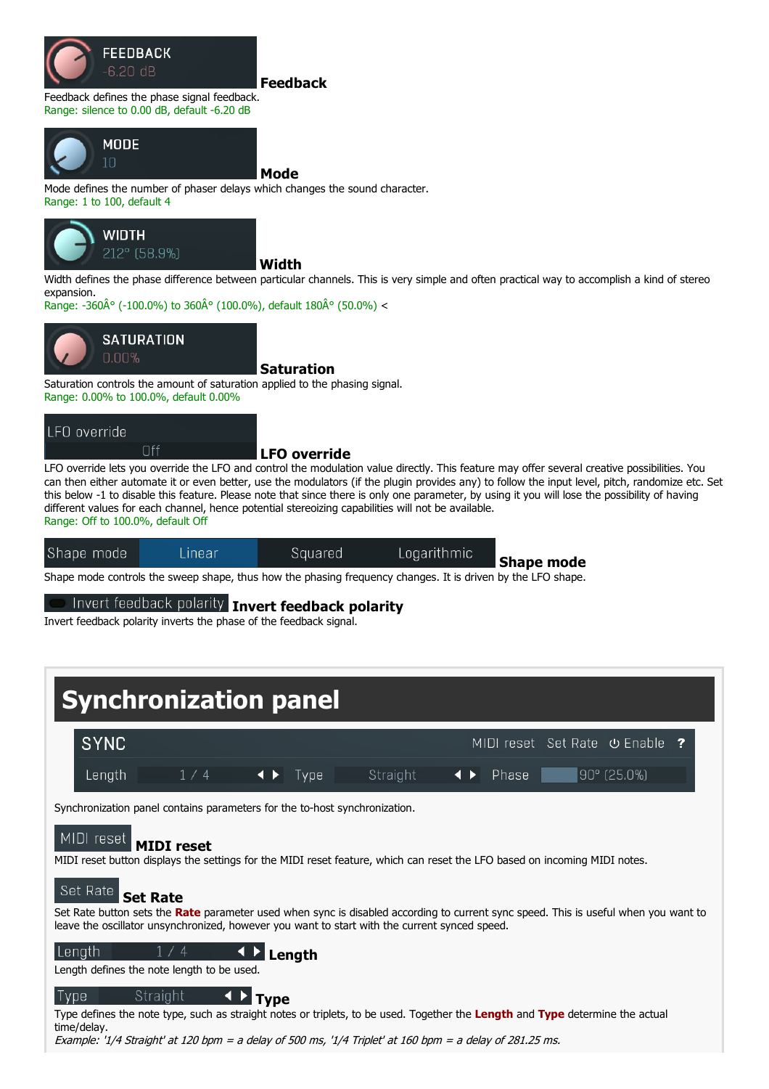

#### Feedback

Feedback defines the phase signal feedback. Range: silence to 0.00 dB, default -6.20 dB



Mode

Mode defines the number of phaser delays which changes the sound character.<br>Range: 1 to 100, default 4



**Width** 

Width defines the phase difference between particular channels. This is very simple and often practical way to accomplish a kind of stereo expansion.

Range: -360 $\hat{A}^{\circ}$  (-100.0%) to 360 $\hat{A}^{\circ}$  (100.0%), default 180 $\hat{A}^{\circ}$  (50.0%) <



Saturation

Saturation controls the amount of saturation applied to the phasing signal.<br>Range: 0.00% to 100.0%, default 0.00%

### LFO override

Off

#### LFO override

LFO override lets you override the LFO and control the modulation value directly. This feature may offer several creative possibilities. You can then either automate it or even better, use the modulators (if the plugin provides any) to follow the input level, pitch, randomize etc. Set this below -1 to disable this feature. Please note that since there is only one parameter, by using it you will lose the possibility of having different values for each channel, hence potential stereoizing capabilities will not be available. Range: Off to 100.0%, default Off

| Shape mode | Linear | Squared | Logarithmic | <b>Shape mode</b> |
|------------|--------|---------|-------------|-------------------|
|            |        |         |             |                   |

Shape mode controls the sweep shape, thus how the phasing frequency changes. It is driven by the LFO shape.

Invert feedback polarity Invert feedback polarity

Invert feedback polarity inverts the phase of the feedback signal.



Example: '1/4 Straight' at 120 bpm <sup>=</sup> <sup>a</sup> delay of 500 ms, '1/4 Triplet' at 160 bpm <sup>=</sup> <sup>a</sup> delay of 281.25 ms.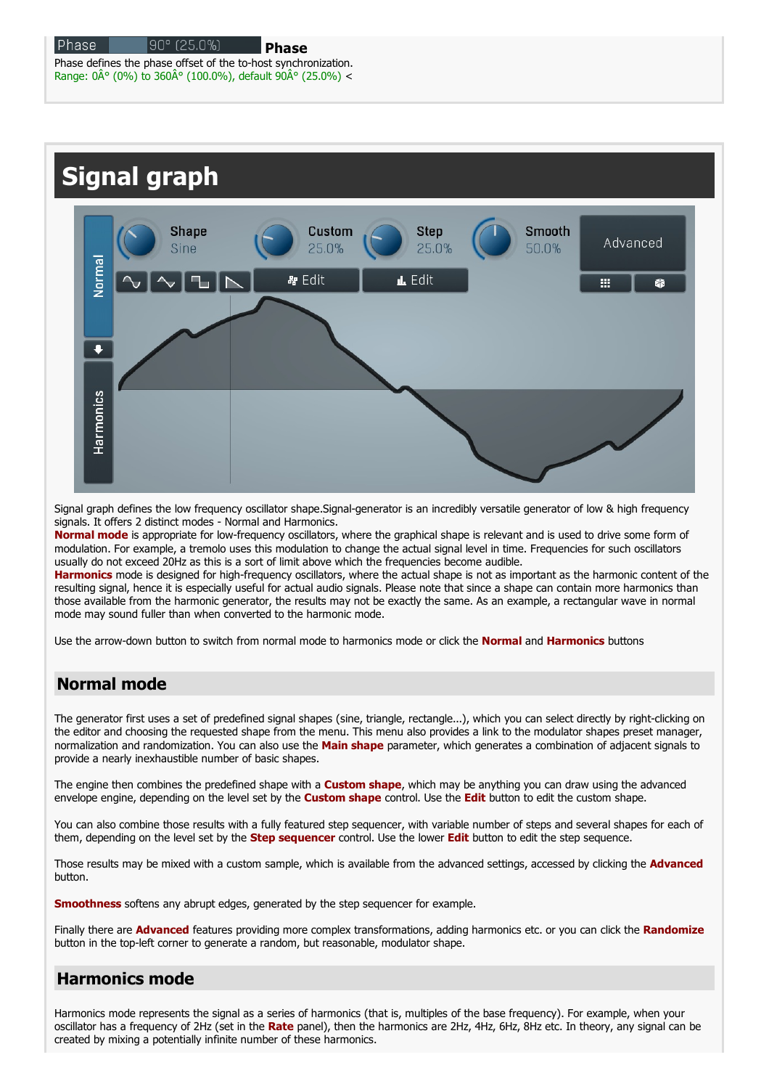Range:  $0\text{\AA}^{\circ}$  (0%) to 360 $\text{\AA}^{\circ}$  (100.0%), default 90 $\text{\AA}^{\circ}$  (25.0%) <



Signal graph defines the low frequency oscillator shape.Signal-generator is an incredibly versatile generator of low & high frequency signals. It offers 2 distinct modes - Normal and Harmonics.

Normal mode is appropriate for low-frequency oscillators, where the graphical shape is relevant and is used to drive some form of modulation. For example, a tremolo uses this modulation to change the actual signal level in time. Frequencies for such oscillators usually do not exceed 20Hz as this is a sort of limit above which the frequencies become audible.

Harmonics mode is designed for high-frequency oscillators, where the actual shape is not as important as the harmonic content of the resulting signal, hence it is especially useful for actual audio signals. Please note that since a shape can contain more harmonics than those available from the harmonic generator, the results may not be exactly the same. As an example, a rectangular wave in normal mode may sound fuller than when converted to the harmonic mode.

Use the arrow-down button to switch from normal mode to harmonics mode or click the **Normal** and **Harmonics** buttons

## Normal mode

The generator first uses a set of predefined signal shapes (sine, triangle, rectangle...), which you can select directly by right-clicking on the editor and choosing the requested shape from the menu. This menu also provides a link to the modulator shapes preset manager, normalization and randomization. You can also use the **Main shape** parameter, which generate provide a nearly inexhaustible number of basic shapes.

The engine then combines the predefined shape with a **Custom shape**, which may be anything you can draw using the advanced envelope engine, depending on the level set by the Custom shape control. Use the Edit button to edit the custom shape.

You can also combine those results with a fully featured step sequencer, with variable number of steps and several shapes for each of them, depending on the level set by the **Step sequencer** control. Use the lower **Edit** button to edit the step sequence.

Those results may be mixed with a custom sample, which is available from the advanced settings, accessed by clicking the **Advanced** button.

**Smoothness** softens any abrupt edges, generated by the step sequencer for example.

Finally there are **Advanced** features providing more complex transformations, adding harmonics etc. or you can click the Randomize button in the top-left corner to generate a random, but reasonable, modulator shape.

## Harmonics mode

Harmonics mode represents the signal as a series of harmonics (that is, multiples of the base frequency). For example, when your oscillator has a frequency of 2Hz (set in the Rate panel), then the harmonics are 2Hz, 4Hz, 6Hz, 8Hz etc. In theory, any signal can be created by mixing a potentially infinite number of these harmonics.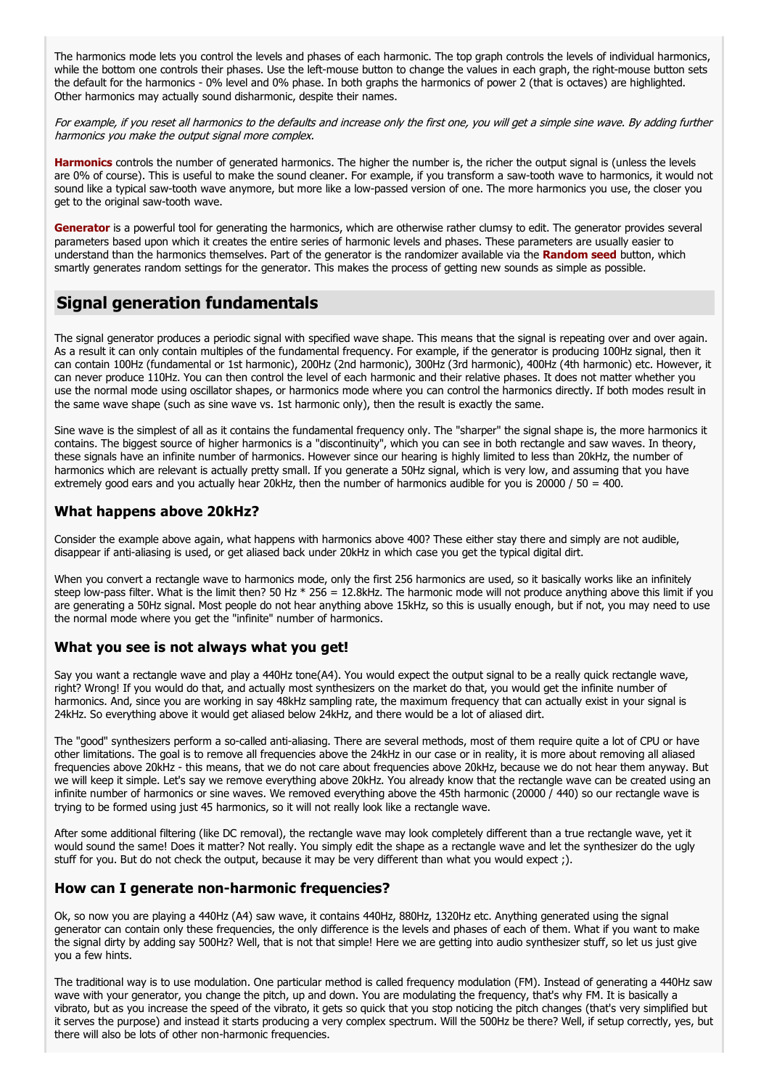The harmonics mode lets you control the levels and phases of each harmonic. The top graph controls the levels of individual harmonics, while the bottom one controls their phases. Use the left-mouse button to change the values in each graph, the right-mouse button sets the default for the harmonics - 0% level and 0% phase. In both graphs the harmonics of power 2 (that is octaves) are highlighted. Other harmonics may actually sound disharmonic, despite their names.

For example, if you reset all harmonics to the defaults and increase only the first one, you will get <sup>a</sup> simple sine wave. By adding further harmonics you make the output signal more complex.

Harmonics controls the number of generated harmonics. The higher the number is, the richer the output signal is (unless the levels are 0% of course). This is useful to make the sound cleaner. For example, if you transform a saw-tooth wave to harmonics, it would not sound like a typical saw-tooth wave anymore, but more like a low-passed version of one. The more harmonics you use, the closer you get to the original saw-tooth wave.

Generator is a powerful tool for generating the harmonics, which are otherwise rather clumsy to edit. The generator provides several parameters based upon which it creates the entire series of harmonic levels and phases. These parameters are usually easier to understand than the harmonics themselves. Part of the generator is the randomizer available via the Random seed button, which smartly generates random settings for the generator. This makes the process of getting new sounds as simple as possible.

## Signal generation fundamentals

The signal generator produces a periodic signal with specified wave shape. This means that the signal is repeating over and over again.<br>As a result it can only contain multiples of the fundamental frequency. For example, i can contain 100Hz (fundamental or 1st harmonic), 200Hz (2nd harmonic), 300Hz (3rd harmonic), 400Hz (4th harmonic) etc. However, it can never produce 110Hz. You can then control the level of each harmonic and their relative phases. It does not matter whether you use the normal mode using oscillator shapes, or harmonics mode where you can control the harmonics directly. If both modes result in the same wave shape (such as sine wave vs. 1st harmonic only), then the result is exactly the same.

Sine wave is the simplest of all as it contains the fundamental frequency only. The "sharper" the signal shape is, the more harmonics it contains. The biggest source of higher harmonics is a "discontinuity", which you can see in both rectangle and saw waves. In theory, these signals have an infinite number of harmonics. However since our hearing is highly limited to less than 20kHz, the number of harmonics which are relevant is actually pretty small. If you generate a 50Hz signal, which is very low, and assuming that you have extremely good ears and you actually hear 20kHz, then the number of harmonics audible for you is 20000 / 50 = 400.

### What happens above 20kHz?

Consider the example above again, what happens with harmonics above 400? These either stay there and simply are not audible, disappear if anti-aliasing is used, or get aliased back under 20kHz in which case you get the typ

When you convert a rectangle wave to harmonics mode, only the first 256 harmonics are used, so it basically works like an infinitely steep low-pass filter. What is the limit then? 50 Hz  $*$  256 = 12.8kHz. The harmonic mode will not produce anything above this limit if you are generating a 50Hz signal. Most people do not hear anything above 15kHz, so this is usually enough, but if not, you may need to use the normal mode where you get the "infinite" number of harmonics.

### What you see is not always what you get!

Say you want a rectangle wave and play a 440Hz tone(A4). You would expect the output signal to be a really quick rectangle wave, right? Wrong! If you would do that, and actually most synthesizers on the market do that, you would get the infinite number of harmonics. And, since you are working in say 48kHz sampling rate, the maximum frequency that can actually exist in your signal is 24kHz. So everything above it would get aliased below 24kHz, and there would be a lot of aliased dirt.

The "good" synthesizers perform a so-called anti-aliasing. There are several methods, most of them require quite a lot of CPU or have other limitations. The goal is to remove all frequencies above the 24kHz in our case or in reality, it is more about removing all aliased frequencies above 20kHz - this means, that we do not care about frequencies above 20kHz, because we do not hear them anyway. But we will keep it simple. Let's say we remove everything above 20kHz. You already know that the rectangle wave can be created using an infinite number of harmonics or sine waves. We removed everything above the 45th harmonic (20000 / 440) so our rectangle wave is trying to be formed using just 45 harmonics, so it will not really look like a rectangle wave.

After some additional filtering (like DC removal), the rectangle wave may look completely different than a true rectangle wave, yet it would sound the same! Does it matter? Not really. You simply edit the shape as a rectangle wave and let the synthesizer do the ugly stuff for you. But do not check the output, because it may be very different than what you would expect ;).

#### How can I generate non-harmonic frequencies?

Ok, so now you are playing a 440Hz (A4) saw wave, it contains 440Hz, 880Hz, 1320Hz etc. Anything generated using the signal generator can contain only these frequencies, the only difference is the levels and phases of each of them. What if you want to make the signal dirty by adding say 500Hz? Well, that is not that simple! Here we are getting into audio synthesizer stuff, so let us just give you a few hints.

The traditional way is to use modulation. One particular method is called frequency modulation (FM). Instead of generating a 440Hz saw wave with your generator, you change the pitch, up and down. You are modulating the frequency, that's why FM. It is basically a vibrato, but as you increase the speed of the vibrato, it gets so quick that you stop noticing the pitch changes (that's very simplified but it serves the purpose) and instead it starts producing a very complex spectrum. Will the 500Hz be there? Well, if setup correctly, yes, but there will also be lots of other non-harmonic frequencies.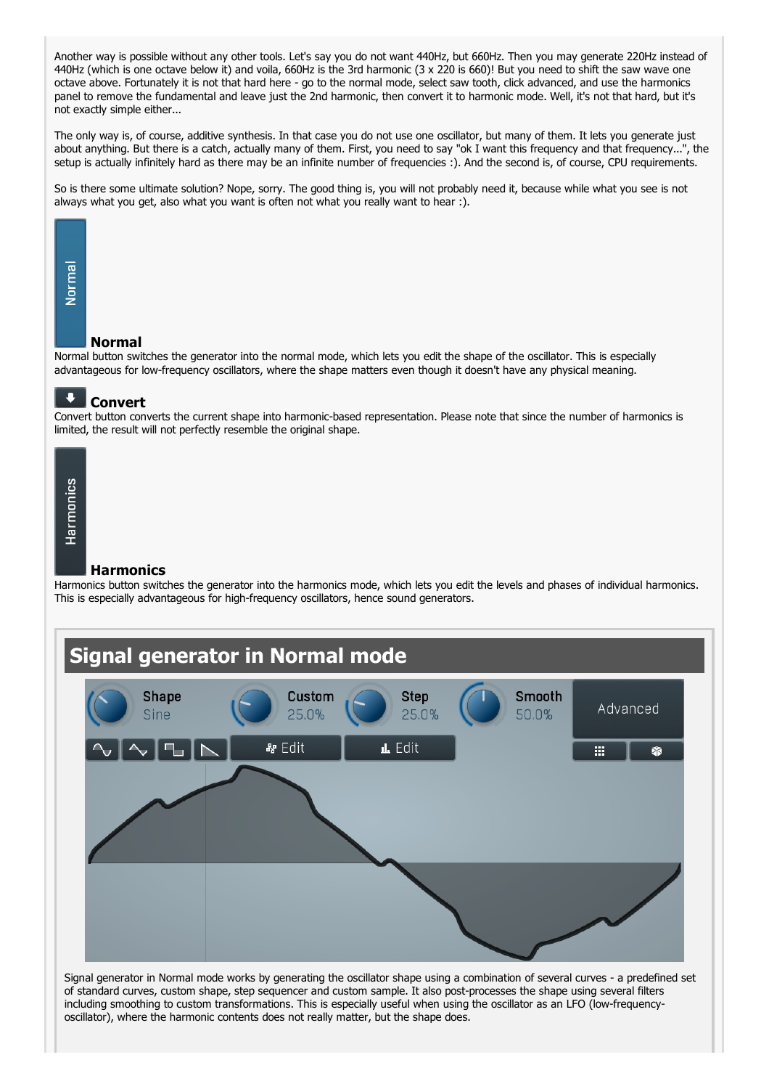Another way is possible without any other tools. Let's say you do not want 440Hz, but 660Hz. Then you may generate 220Hz instead of 440Hz (which is one octave below it) and voila, 660Hz is the 3rd harmonic (3 x 220 is 660)! But you need to shift the saw wave one octave above. Fortunately it is not that hard here - go to the normal mode, select saw tooth, click advanced, and use the harmonics panel to remove the fundamental and leave just the 2nd harmonic, then convert it to harmonic mode. Well, it's not that hard, but it's not exactly simple either...

The only way is, of course, additive synthesis. In that case you do not use one oscillator, but many of them. It lets you generate just about anything. But there is a catch, actually many of them. First, you need to say "ok I want this frequency and that frequency...", the setup is actually infinitely hard as there may be an infinite number of frequencies :). And the second is, of course, CPU requirements.

So is there some ultimate solution? Nope, sorry. The good thing is, you will not probably need it, because while what you see is not always what you get, also what you want is often not what you really want to hear :).



#### Normal

Normal button switches the generator into the normal mode, which lets you edit the shape of the oscillator. This is especially advantageous for low-frequency oscillators, where the shape matters even though it doesn't have any physical meaning.



Convert button converts the current shape into harmonic-based representation. Please note that since the number of harmonics is limited, the result will not perfectly resemble the original shape.



#### **Harmonics**

Harmonics button switches the generator into the harmonics mode, which lets you edit the levels and phases of individual harmonics.<br>This is especially advantageous for high-frequency oscillators, hence sound generators.



Signal generator in Normal mode works by generating the oscillator shape using a combination of several curves - a predefined set of standard curves, custom shape, step sequencer and custom sample. It also post-processes the shape using several filters including smoothing to custom transformations. This is especially useful when using the oscillator as an LFO (low-frequency-<br>oscillator), where the harmonic contents does not really matter, but the shape does.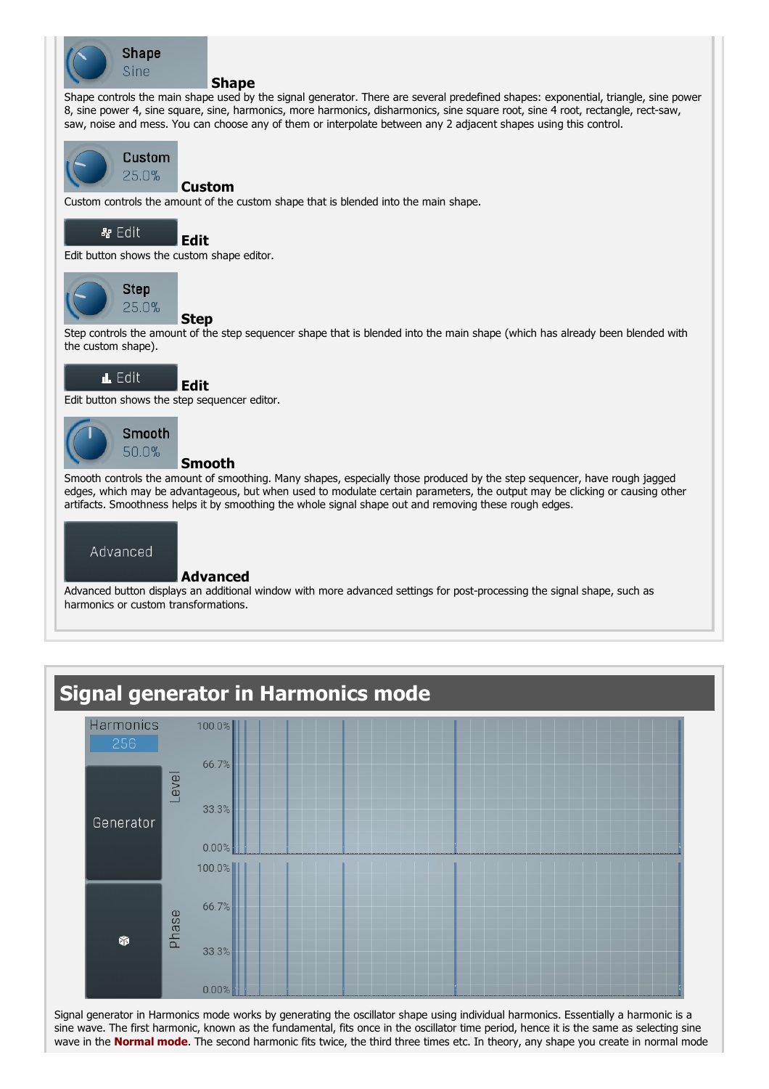

#### **Shape**

Shape controls the main shape used by the signal generator. There are several predefined shapes: exponential, triangle, sine power 8, sine power 4, sine square, sine, harmonics, more harmonics, disharmonics, sine square root, sine 4 root, rectangle, rect-saw, saw, noise and mess. You can choose any of them or interpolate between any 2 adjacent shapes using this control.



#### Custom

Custom controls the amount of the custom shape that is blended into the main shape.



Edit

Edit button shows the custom shape editor.



**Step** 

Edit

Step controls the amount of the step sequencer shape that is blended into the main shape (which has already been blended with the custom shape).



Edit button shows the step sequencer editor.



### Smooth

Smooth controls the amount of smoothing. Many shapes, especially those produced by the step sequencer, have rough jagged edges, which may be advantageous, but when used to modulate certain parameters, the output may be clicking or causing other artifacts. Smoothness helps it by smoothing the whole signal shape out and removing these rough edges.



### Advanced

Advanced button displays an additional window with more advanced settings for post-processing the signal shape, such as harmonics or custom transformations.

## Signal generator in Harmonics mode



Signal generator in Harmonics mode works by generating the oscillator shape using individual harmonics. Essentially a harmonic is a sine wave. The first harmonic, known as the fundamental, fits once in the oscillator time period, hence it is the same as selecting sine wave in the **Normal mode**. The second harmonic fits twice, the third three times etc. In theory, any shape you create in normal mode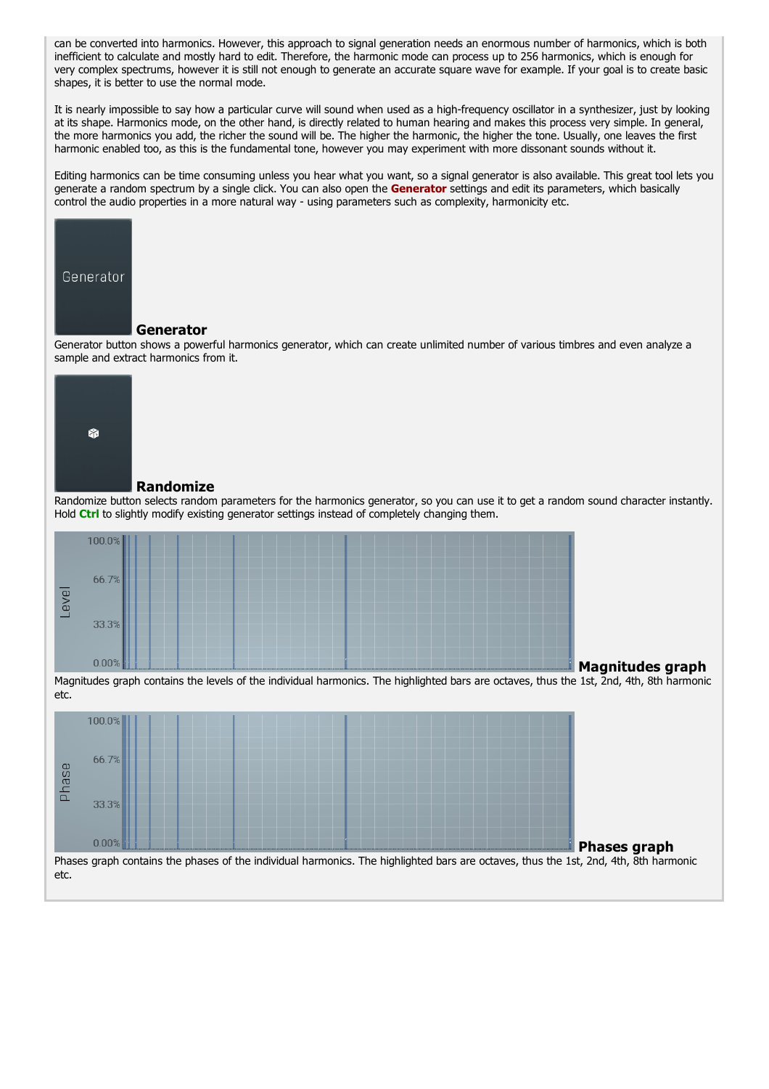can be converted into harmonics. However, this approach to signal generation needs an enormous number of harmonics, which is both inefficient to calculate and mostly hard to edit. Therefore, the harmonic mode can process up to 256 harmonics, which is enough for very complex spectrums, however it is still not enough to generate an accurate square wave for example. If your goal is to create basic shapes, it is better to use the normal mode.

It is nearly impossible to say how a particular curve will sound when used as a high-frequency oscillator in a synthesizer, just by looking at its shape. Harmonics mode, on the other hand, is directly related to human hearing and makes this process very simple. In general, the more harmonics you add, the richer the sound will be. The higher the harmonic, the higher the tone. Usually, one leaves the first harmonic enabled too, as this is the fundamental tone, however you may experiment with more dissonant sounds without it.

Editing harmonics can be time consuming unless you hear what you want, so a signal generator is also available. This great tool lets you generate a random spectrum by a single click. You can also open the Generator settings and edit its parameters, which basically control the audio properties in a more natural way - using parameters such as complexity, harmonicity etc.



#### Generator

Generator button shows a powerful harmonics generator, which can create unlimited number of various timbres and even analyze a sample and extract harmonics from it.



#### Randomize

Randomize button selects random parameters for the harmonics generator, so you can use it to get a random sound character instantly. Hold Ctrl to slightly modify existing generator settings instead of completely changing them.



Magnitudes graph contains the levels of the individual harmonics. The highlighted bars are octaves, thus the 1st, 2nd, 4th, 8th harmonic etc.

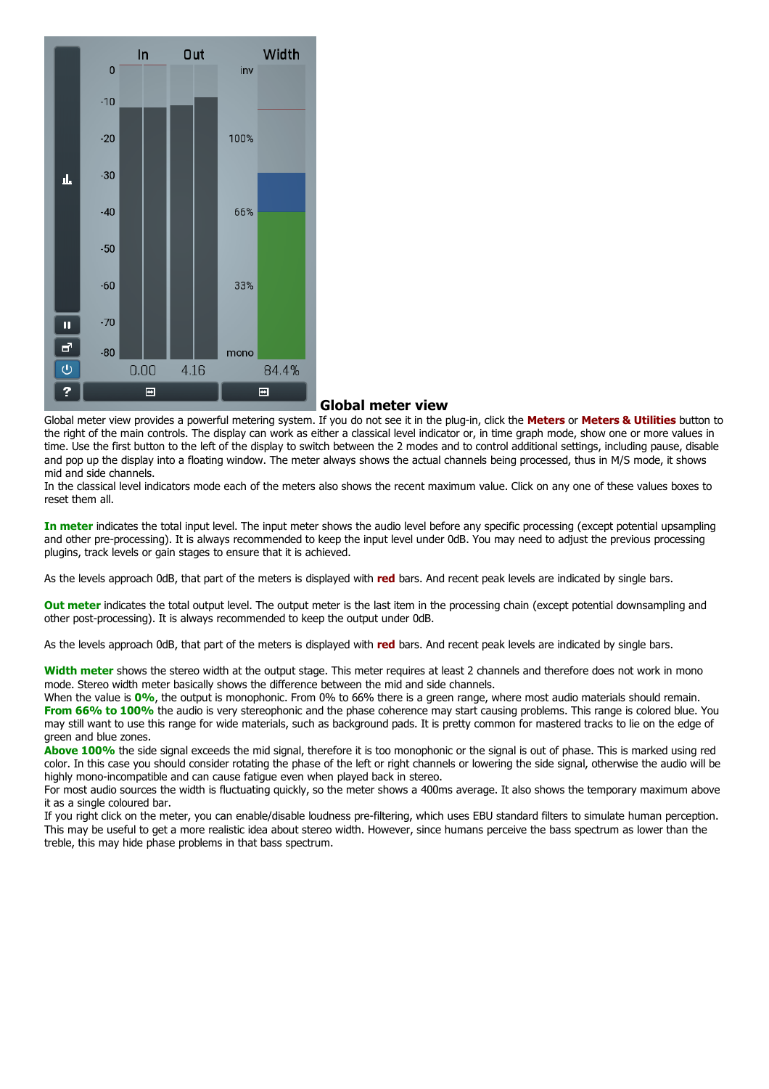

#### Global meter view

Global meter view provides a powerful metering system. If you do not see it in the plug-in, click the Meters or Meters & Utilities button to the right of the main controls. The display can work as either a classical level indicator or, in time graph mode, show one or more values in time. Use the first button to the left of the display to switch between the 2 modes and to control additional settings, including pause, disable and pop up the display into a floating window. The meter always shows the actual channels being processed, thus in M/S mode, it shows mid and side channels.

In the classical level indicators mode each of the meters also shows the recent maximum value. Click on any one of these values boxes to reset them all.

In meter indicates the total input level. The input meter shows the audio level before any specific processing (except potential upsampling and other pre-processing). It is always recommended to keep the input level under 0dB. You may need to adjust the previous processing plugins, track levels or gain stages to ensure that it is achieved.

As the levels approach 0dB, that part of the meters is displayed with red bars. And recent peak levels are indicated by single bars.

Out meter indicates the total output level. The output meter is the last item in the processing chain (except potential downsampling and other post-processing). It is always recommended to keep the output under 0dB.

As the levels approach 0dB, that part of the meters is displayed with red bars. And recent peak levels are indicated by single bars.

Width meter shows the stereo width at the output stage. This meter requires at least 2 channels and therefore does not work in mono mode. Stereo width meter basically shows the difference between the mid and side channels.

When the value is 0%, the output is monophonic. From 0% to 66% there is a green range, where most audio materials should remain.<br>From 66% to 100% the audio is very stereophonic and the phase coherence may start causing pro may still want to use this range for wide materials, such as background pads. It is pretty common for mastered tracks to lie on the edge of

green and blue zones.<br>Above 100% the side signal exceeds the mid signal, therefore it is too monophonic or the signal is out of phase. This is marked using red color. In this case you should consider rotating the phase of the left or right channels or lowering the side signal, otherwise the audio will be highly mono-incompatible and can cause fatigue even when played back in ster

For most audio sources the width is fluctuating quickly, so the meter shows a 400ms average. It also shows the temporary maximum above it as a single coloured bar.<br>If you right click on the meter, you can enable/disable loudness pre-filtering, which uses EBU standard filters to simulate human perception.

This may be useful to get a more realistic idea about stereo width. However, since humans perceive the bass spectrum as lower than the treble, this may hide phase problems in that bass spectrum.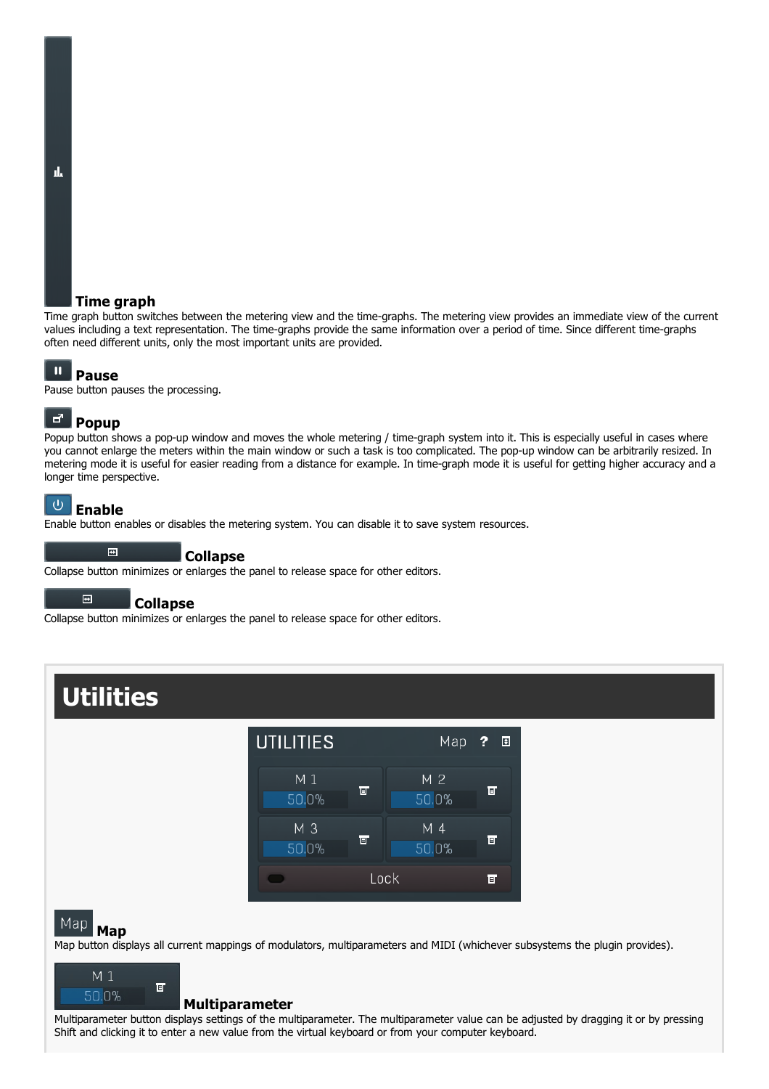#### Time graph

Time graph button switches between the metering view and the time-graphs. The metering view provides an immediate view of the current values including a text representation. The time-graphs provide the same information over a period of time. Since different time-graphs often need different units, only the most important units are provided.

#### $\mathbf{u}$ Pause

Pause button pauses the processing.

#### ಕ್ Popup

Popup button shows a pop-up window and moves the whole metering / time-graph system into it. This is especially useful in cases where you cannot enlarge the meters within the main window or such a task is too complicated. The pop-up window can be arbitrarily resized. In metering mode it is useful for easier reading from a distance for example. In time-graph mode it is useful for getting higher accuracy and a longer time perspective.

#### $\cup$ Enable

Enable button enables or disables the metering system. You can disable it to save system resources.

Collapse

Collapse button minimizes or enlarges the panel to release space for other editors.

#### $\blacksquare$ **Collapse**

 $\blacksquare$ 

Collapse button minimizes or enlarges the panel to release space for other editors.

## **Utilities**



#### Map **Map**

Map button displays all current mappings of modulators, multiparameters and MIDI (whichever subsystems the plugin provides).



#### Multiparameter

Multiparameter button displays settings of the multiparameter. The multiparameter value can be adjusted by dragging it or by pressing Shift and clicking it to enter a new value from the virtual keyboard or from your computer keyboard.